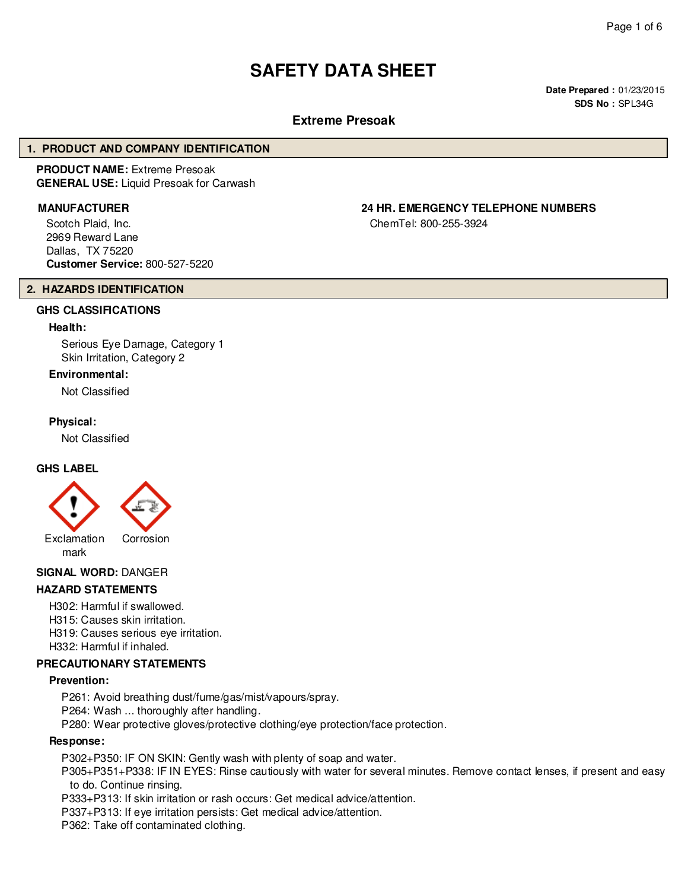# **SAFETY DATA SHEET**

**Date Prepared :** 01/23/2015 **SDS No :** SPL34G

# **Extreme Presoak**

#### **1. PRODUCT AND COMPANY IDENTIFICATION**

**PRODUCT NAME:** Extreme Presoak **GENERAL USE:** Liquid Presoak for Carwash

#### **MANUFACTURER 24 HR. EMERGENCY TELEPHONE NUMBERS**

Scotch Plaid, Inc. 2969 Reward Lane Dallas, TX 75220 **Customer Service:** 800-527-5220

# ChemTel: 800-255-3924

#### **2. HAZARDS IDENTIFICATION**

# **GHS CLASSIFICATIONS**

#### **Health:**

Serious Eye Damage, Category 1 Skin Irritation, Category 2

#### **Environmental:**

Not Classified

#### **Physical:**

Not Classified

#### **GHS LABEL**



**SIGNAL WORD:** DANGER

#### **HAZARD STATEMENTS**

H302: Harmful if swallowed. H315: Causes skin irritation. H319: Causes serious eye irritation. H332: Harmful if inhaled.

# **PRECAUTIONARY STATEMENTS**

#### **Prevention:**

P261: Avoid breathing dust/fume/gas/mist/vapours/spray.

P264: Wash ... thoroughly after handling.

P280: Wear protective gloves/protective clothing/eye protection/face protection.

#### **Response:**

P302+P350: IF ON SKIN: Gently wash with plenty of soap and water.

P305+P351+P338: IF IN EYES: Rinse cautiously with water for several minutes. Remove contact lenses, if present and easy to do. Continue rinsing.

P333+P313: If skin irritation or rash occurs: Get medical advice/attention.

P337+P313: If eye irritation persists: Get medical advice/attention.

P362: Take off contaminated clothing.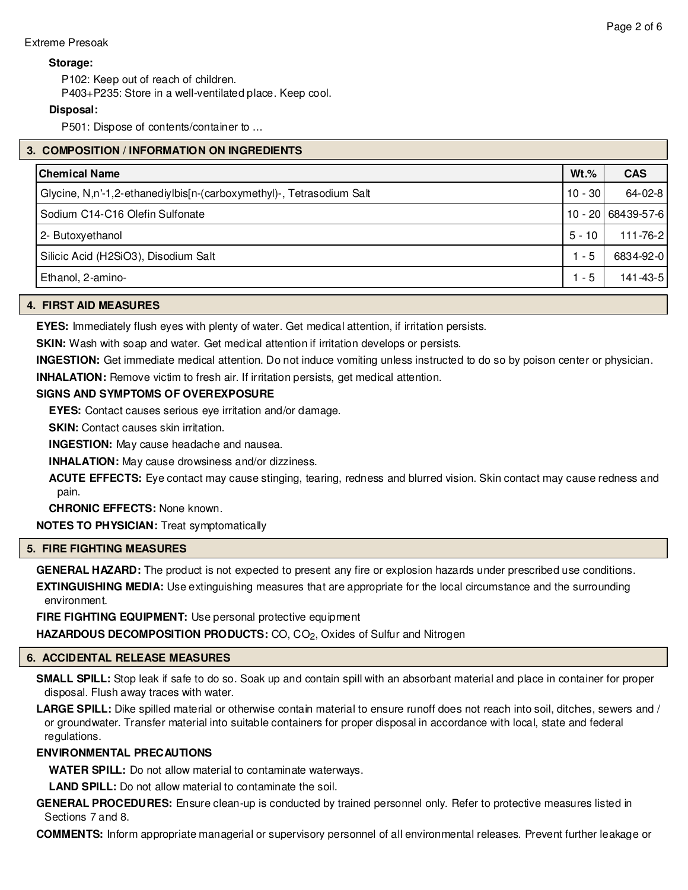# **Storage:**

P102: Keep out of reach of children.

P403+P235: Store in a well-ventilated place. Keep cool.

# **Disposal:**

P501: Dispose of contents/container to ...

| 3. COMPOSITION / INFORMATION ON INGREDIENTS                          |           |                    |
|----------------------------------------------------------------------|-----------|--------------------|
| <b>Chemical Name</b>                                                 | $Wt.\%$   | <b>CAS</b>         |
| Glycine, N,n'-1,2-ethanediylbis[n-(carboxymethyl)-, Tetrasodium Salt | $10 - 30$ | $64 - 02 - 8$      |
| Sodium C14-C16 Olefin Sulfonate                                      |           | 10 - 20 68439-57-6 |
| 2- Butoxyethanol                                                     | $5 - 10$  | $111 - 76 - 2$     |
| Silicic Acid (H2SiO3), Disodium Salt                                 | $-5$      | 6834-92-0          |
| Ethanol, 2-amino-                                                    | - 5       | 141-43-5           |

## **4. FIRST AID MEASURES**

**EYES:** Immediately flush eyes with plenty of water. Get medical attention, if irritation persists.

**SKIN:** Wash with soap and water. Get medical attention if irritation develops or persists.

**INGESTION:** Get immediate medical attention. Do not induce vomiting unless instructed to do so by poison center or physician.

**INHALATION:** Remove victim to fresh air. If irritation persists, get medical attention.

# **SIGNS AND SYMPTOMS OF OVEREXPOSURE**

**EYES:** Contact causes serious eye irritation and/or damage.

**SKIN:** Contact causes skin irritation.

**INGESTION:** May cause headache and nausea.

**INHALATION:** May cause drowsiness and/or dizziness.

**ACUTE EFFECTS:** Eye contact may cause stinging, tearing, redness and blurred vision. Skin contact may cause redness and pain.

**CHRONIC EFFECTS:** None known.

**NOTES TO PHYSICIAN:** Treat symptomatically

# **5. FIRE FIGHTING MEASURES**

**GENERAL HAZARD:** The product is not expected to present any fire or explosion hazards under prescribed use conditions. **EXTINGUISHING MEDIA:** Use extinguishing measures that are appropriate for the local circumstance and the surrounding environment.

**FIRE FIGHTING EQUIPMENT:** Use personal protective equipment **HAZARDOUS DECOMPOSITION PRODUCTS:** CO, CO<sub>2</sub>, Oxides of Sulfur and Nitrogen

# **6. ACCIDENTAL RELEASE MEASURES**

**SMALL SPILL:** Stop leak if safe to do so. Soak up and contain spill with an absorbant material and place in container for proper disposal. Flush away traces with water.

**LARGE SPILL:** Dike spilled material or otherwise contain material to ensure runoff does not reach into soil, ditches, sewers and / or groundwater. Transfer material into suitable containers for proper disposal in accordance with local, state and federal regulations.

#### **ENVIRONMENTAL PRECAUTIONS**

**WATER SPILL:** Do not allow material to contaminate waterways.

**LAND SPILL:** Do not allow material to contaminate the soil.

**GENERAL PROCEDURES:** Ensure clean-up is conducted by trained personnel only. Refer to protective measures listed in Sections 7 and 8.

**COMMENTS:** Inform appropriate managerial or supervisory personnel of all environmental releases. Prevent further leakage or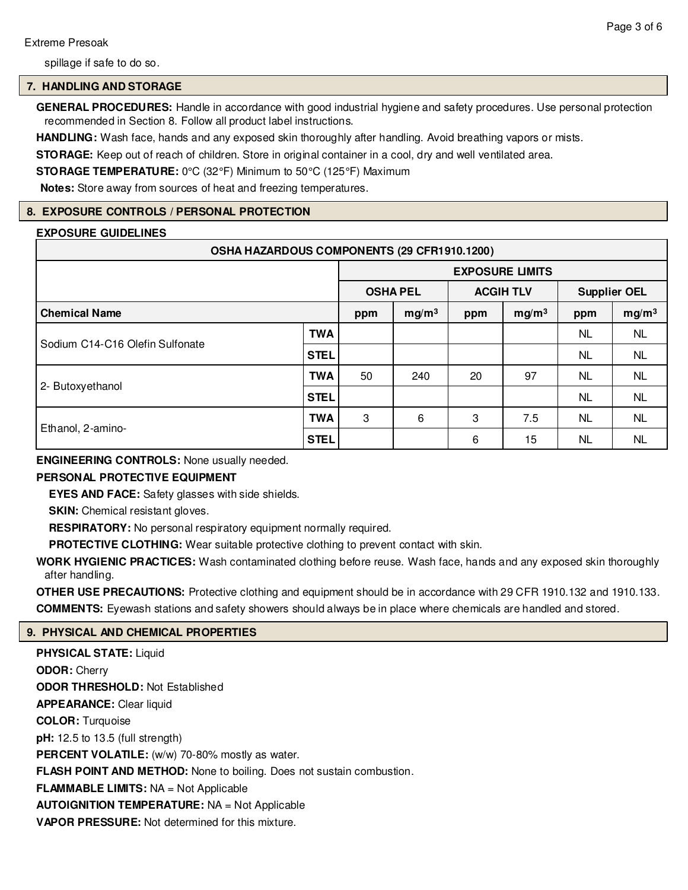spillage if safe to do so.

# **7. HANDLING AND STORAGE**

**GENERAL PROCEDURES:** Handle in accordance with good industrial hygiene and safety procedures. Use personal protection recommended in Section 8. Follow all product label instructions.

**HANDLING:** Wash face, hands and any exposed skin thoroughly after handling. Avoid breathing vapors or mists.

**STORAGE:** Keep out of reach of children. Store in original container in a cool, dry and well ventilated area.

**STORAGE TEMPERATURE:** 0°C (32°F) Minimum to 50°C (125°F) Maximum

**Notes:** Store away from sources of heat and freezing temperatures.

# **8. EXPOSURE CONTROLS / PERSONAL PROTECTION**

## **EXPOSURE GUIDELINES**

| OSHA HAZARDOUS COMPONENTS (29 CFR1910.1200) |             |                        |                   |                  |                   |                     |                   |
|---------------------------------------------|-------------|------------------------|-------------------|------------------|-------------------|---------------------|-------------------|
|                                             |             | <b>EXPOSURE LIMITS</b> |                   |                  |                   |                     |                   |
|                                             |             | <b>OSHA PEL</b>        |                   | <b>ACGIH TLV</b> |                   | <b>Supplier OEL</b> |                   |
| <b>Chemical Name</b>                        |             | ppm                    | mg/m <sup>3</sup> | ppm              | mg/m <sup>3</sup> | ppm                 | mg/m <sup>3</sup> |
| Sodium C14-C16 Olefin Sulfonate             | <b>TWA</b>  |                        |                   |                  |                   | NL.                 | NL.               |
|                                             | <b>STEL</b> |                        |                   |                  |                   | <b>NL</b>           | <b>NL</b>         |
| 2- Butoxyethanol                            | <b>TWA</b>  | 50                     | 240               | 20               | 97                | NL.                 | <b>NL</b>         |
|                                             | <b>STEL</b> |                        |                   |                  |                   | <b>NL</b>           | NL.               |
| Ethanol, 2-amino-                           | <b>TWA</b>  | 3                      | 6                 | 3                | 7.5               | <b>NL</b>           | <b>NL</b>         |
|                                             | <b>STEL</b> |                        |                   | 6                | 15                | NL.                 | <b>NL</b>         |

**ENGINEERING CONTROLS:** None usually needed.

# **PERSONAL PROTECTIVE EQUIPMENT**

**EYES AND FACE:** Safety glasses with side shields.

**SKIN:** Chemical resistant gloves.

**RESPIRATORY:** No personal respiratory equipment normally required.

**PROTECTIVE CLOTHING:** Wear suitable protective clothing to prevent contact with skin.

**WORK HYGIENIC PRACTICES:** Wash contaminated clothing before reuse. Wash face, hands and any exposed skin thoroughly after handling.

**OTHER USE PRECAUTIONS:** Protective clothing and equipment should be in accordance with 29 CFR 1910.132 and 1910.133. **COMMENTS:** Eyewash stations and safety showers should always be in place where chemicals are handled and stored.

# **9. PHYSICAL AND CHEMICAL PROPERTIES**

**PHYSICAL STATE:** Liquid **ODOR:** Cherry **ODOR THRESHOLD:** Not Established **APPEARANCE:** Clear liquid **COLOR:** Turquoise **pH:** 12.5 to 13.5 (full strength) PERCENT VOLATILE: (w/w) 70-80% mostly as water. **FLASH POINT AND METHOD:** None to boiling. Does not sustain combustion. **FLAMMABLE LIMITS:** NA = Not Applicable **AUTOIGNITION TEMPERATURE:** NA = Not Applicable **VAPOR PRESSURE:** Not determined for this mixture.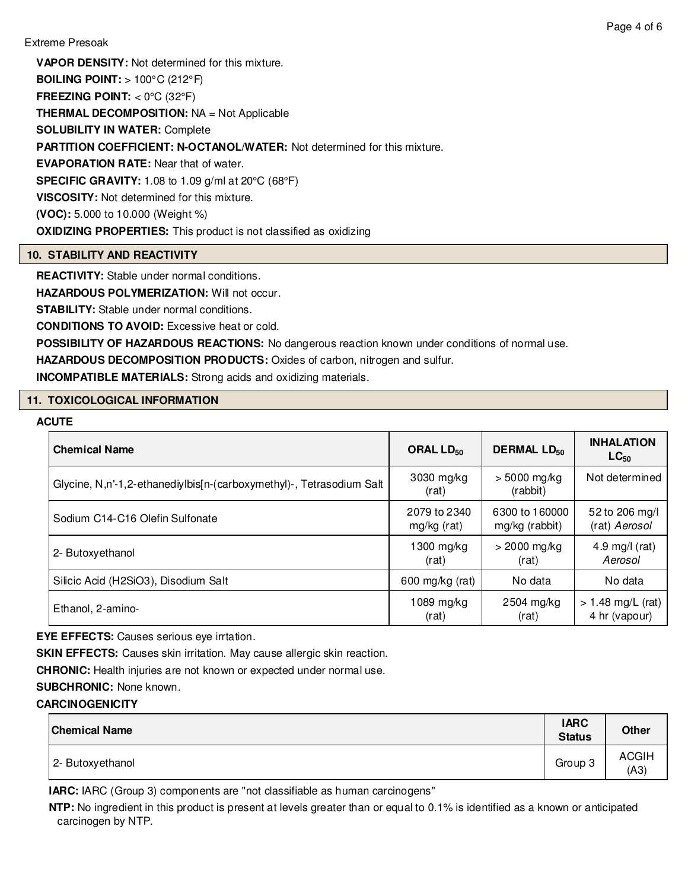**VAPOR DENSITY:** Not determined for this mixture. **BOILING POINT:** > 100°C (212°F) **FREEZING POINT:** < 0°C (32°F) **THERMAL DECOMPOSITION:** NA = Not Applicable **SOLUBILITY IN WATER:** Complete **PARTITION COEFFICIENT: N-OCTANOL/WATER:** Not determined for this mixture. **EVAPORATION RATE:** Near that of water. **SPECIFIC GRAVITY:** 1.08 to 1.09 g/ml at 20°C (68°F)

**VISCOSITY:** Not determined for this mixture.

**(VOC):** 5.000 to 10.000 (Weight %)

**OXIDIZING PROPERTIES:** This product is not classified as oxidizing

# **10. STABILITY AND REACTIVITY**

**REACTIVITY:** Stable under normal conditions.

**HAZARDOUS POLYMERIZATION:** Will not occur.

**STABILITY:** Stable under normal conditions.

**CONDITIONS TO AVOID:** Excessive heat or cold.

**POSSIBILITY OF HAZARDOUS REACTIONS:** No dangerous reaction known under conditions of normal use.

**HAZARDOUS DECOMPOSITION PRODUCTS:** Oxides of carbon, nitrogen and sulfur.

**INCOMPATIBLE MATERIALS:** Strong acids and oxidizing materials.

# **11. TOXICOLOGICAL INFORMATION**

# **ACUTE**

| <b>Chemical Name</b>                                                 | ORAL LD <sub>50</sub> | <b>DERMAL LD<sub>50</sub></b> | <b>INHALATION</b><br>$LC_{50}$ |
|----------------------------------------------------------------------|-----------------------|-------------------------------|--------------------------------|
| Glycine, N,n'-1,2-ethanediylbis[n-(carboxymethyl)-, Tetrasodium Salt | 3030 mg/kg<br>(rat)   | $> 5000$ mg/kg<br>(rabbit)    | Not determined                 |
| Sodium C14-C16 Olefin Sulfonate                                      | 2079 to 2340          | 6300 to 160000                | 52 to 206 mg/l                 |
|                                                                      | mg/kg (rat)           | mg/kg (rabbit)                | (rat) Aerosol                  |
| 2- Butoxyethanol                                                     | 1300 mg/kg            | $>$ 2000 mg/kg                | 4.9 mg/l $(rat)$               |
|                                                                      | (rat)                 | (rat)                         | Aerosol                        |
| Silicic Acid (H2SiO3), Disodium Salt                                 | 600 mg/kg (rat)       | No data                       | No data                        |
| Ethanol, 2-amino-                                                    | 1089 mg/kg            | $2504$ mg/kg                  | $> 1.48$ mg/L (rat)            |
|                                                                      | (rat)                 | (rat)                         | 4 hr (vapour)                  |

**EYE EFFECTS:** Causes serious eye irrtation.

**SKIN EFFECTS:** Causes skin irritation. May cause allergic skin reaction.

**CHRONIC:** Health injuries are not known or expected under normal use.

# **SUBCHRONIC:** None known.

**CARCINOGENICITY**

| <b>Chemical Name</b> | <b>IARC</b><br><b>Status</b> | <b>Other</b>         |
|----------------------|------------------------------|----------------------|
| 2- Butoxyethanol     | Group 3                      | <b>ACGIH</b><br>(A3) |

**IARC:** IARC (Group 3) components are "not classifiable as human carcinogens"

**NTP:** No ingredient in this product is present at levels greater than or equal to 0.1% is identified as a known or anticipated carcinogen by NTP.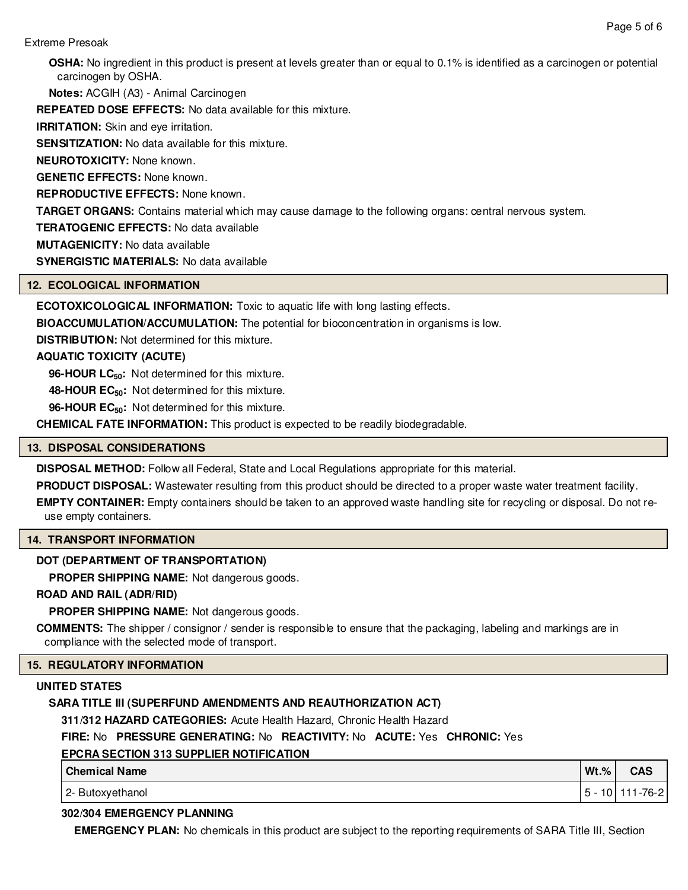**OSHA:** No ingredient in this product is present at levels greater than or equal to 0.1% is identified as a carcinogen or potential carcinogen by OSHA.

**Notes:** ACGIH (A3) - Animal Carcinogen

**REPEATED DOSE EFFECTS:** No data available for this mixture.

**IRRITATION:** Skin and eye irritation.

**SENSITIZATION:** No data available for this mixture.

**NEUROTOXICITY:** None known.

**GENETIC EFFECTS:** None known.

**REPRODUCTIVE EFFECTS:** None known.

**TARGET ORGANS:** Contains material which may cause damage to the following organs: central nervous system.

**TERATOGENIC EFFECTS:** No data available

**MUTAGENICITY:** No data available

**SYNERGISTIC MATERIALS:** No data available

## **12. ECOLOGICAL INFORMATION**

**ECOTOXICOLOGICAL INFORMATION:** Toxic to aquatic life with long lasting effects.

**BIOACCUMULATION/ACCUMULATION:** The potential for bioconcentration in organisms is low.

**DISTRIBUTION:** Not determined for this mixture.

## **AQUATIC TOXICITY (ACUTE)**

**96-HOUR LC50:** Not determined for this mixture.

**48-HOUR EC50:** Not determined for this mixture.

**96-HOUR EC50:** Not determined for this mixture.

**CHEMICAL FATE INFORMATION:** This product is expected to be readily biodegradable.

#### **13. DISPOSAL CONSIDERATIONS**

**DISPOSAL METHOD:** Follow all Federal, State and Local Regulations appropriate for this material.

**PRODUCT DISPOSAL:** Wastewater resulting from this product should be directed to a proper waste water treatment facility.

**EMPTY CONTAINER:** Empty containers should be taken to an approved waste handling site for recycling or disposal. Do not reuse empty containers.

#### **14. TRANSPORT INFORMATION**

# **DOT (DEPARTMENT OF TRANSPORTATION)**

**PROPER SHIPPING NAME:** Not dangerous goods.

#### **ROAD AND RAIL (ADR/RID)**

**PROPER SHIPPING NAME:** Not dangerous goods.

**COMMENTS:** The shipper / consignor / sender is responsible to ensure that the packaging, labeling and markings are in compliance with the selected mode of transport.

# **15. REGULATORY INFORMATION**

# **UNITED STATES**

# **SARA TITLE III (SUPERFUND AMENDMENTS AND REAUTHORIZATION ACT)**

**311/312 HAZARD CATEGORIES:** Acute Health Hazard, Chronic Health Hazard

**FIRE:** No **PRESSURE GENERATING:** No **REACTIVITY:** No **ACUTE:** Yes **CHRONIC:** Yes

# **EPCRA SECTION 313 SUPPLIER NOTIFICATION**

| <b>Chemical Name</b> | $Wt$ %    | <b>CAS</b> |
|----------------------|-----------|------------|
| 2- Butoxyethanol     | 10 I<br>ა | . -76-2    |

# **302/304 EMERGENCY PLANNING**

**EMERGENCY PLAN:** No chemicals in this product are subject to the reporting requirements of SARA Title III, Section